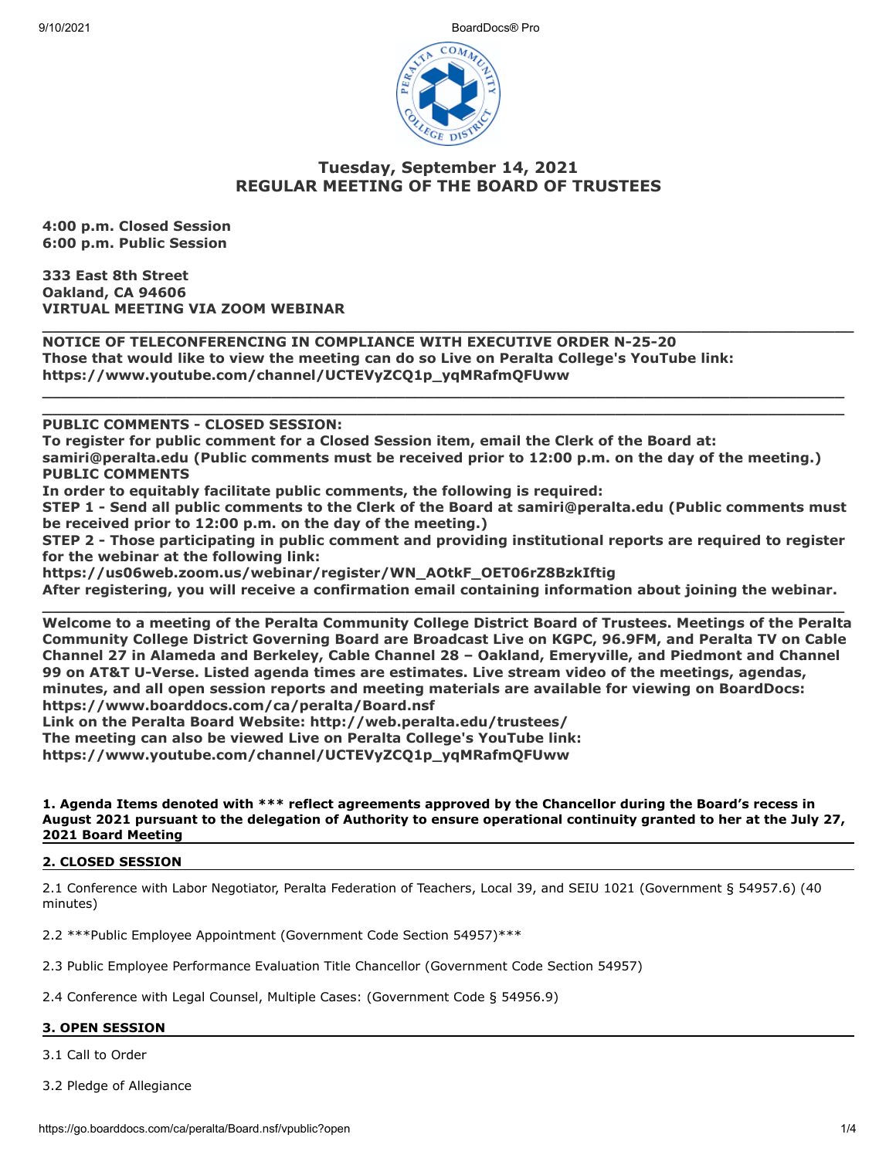9/10/2021 BoardDocs® Pro



# **Tuesday, September 14, 2021 REGULAR MEETING OF THE BOARD OF TRUSTEES**

**\_\_\_\_\_\_\_\_\_\_\_\_\_\_\_\_\_\_\_\_\_\_\_\_\_\_\_\_\_\_\_\_\_\_\_\_\_\_\_\_\_\_\_\_\_\_\_\_\_\_\_\_\_\_\_\_\_\_\_\_\_\_\_\_\_\_\_\_\_\_\_\_\_\_\_\_\_\_\_\_\_\_\_\_\_**

**\_\_\_\_\_\_\_\_\_\_\_\_\_\_\_\_\_\_\_\_\_\_\_\_\_\_\_\_\_\_\_\_\_\_\_\_\_\_\_\_\_\_\_\_\_\_\_\_\_\_\_\_\_\_\_\_\_\_\_\_\_\_\_\_\_\_\_\_\_\_\_\_\_\_\_\_\_\_\_\_\_\_\_\_ \_\_\_\_\_\_\_\_\_\_\_\_\_\_\_\_\_\_\_\_\_\_\_\_\_\_\_\_\_\_\_\_\_\_\_\_\_\_\_\_\_\_\_\_\_\_\_\_\_\_\_\_\_\_\_\_\_\_\_\_\_\_\_\_\_\_\_\_\_\_\_\_\_\_\_\_\_\_\_\_\_\_\_\_**

**4:00 p.m. Closed Session 6:00 p.m. Public Session**

**333 East 8th Street Oakland, CA 94606 VIRTUAL MEETING VIA ZOOM WEBINAR**

**NOTICE OF TELECONFERENCING IN COMPLIANCE WITH EXECUTIVE ORDER N-25-20 Those that would like to view the meeting can do so Live on Peralta College's YouTube link: https://www.youtube.com/channel/UCTEVyZCQ1p\_yqMRafmQFUww** 

**PUBLIC COMMENTS - CLOSED SESSION:** 

**To register for public comment for a Closed Session item, email the Clerk of the Board at: samiri@peralta.edu (Public comments must be received prior to 12:00 p.m. on the day of the meeting.) PUBLIC COMMENTS**

**In order to equitably facilitate public comments, the following is required:**

**STEP 1 - Send all public comments to the Clerk of the Board at samiri@peralta.edu (Public comments must be received prior to 12:00 p.m. on the day of the meeting.)**

**STEP 2 - Those participating in public comment and providing institutional reports are required to register for the webinar at the following link:**

**https://us06web.zoom.us/webinar/register/WN\_AOtkF\_OET06rZ8BzkIftig After registering, you will receive a confirmation email containing information about joining the webinar.**

**\_\_\_\_\_\_\_\_\_\_\_\_\_\_\_\_\_\_\_\_\_\_\_\_\_\_\_\_\_\_\_\_\_\_\_\_\_\_\_\_\_\_\_\_\_\_\_\_\_\_\_\_\_\_\_\_\_\_\_\_\_\_\_\_\_\_\_\_\_\_\_\_\_\_\_\_\_\_\_\_\_\_\_\_ Welcome to a meeting of the Peralta Community College District Board of Trustees. Meetings of the Peralta Community College District Governing Board are Broadcast Live on KGPC, 96.9FM, and Peralta TV on Cable Channel 27 in Alameda and Berkeley, Cable Channel 28 – Oakland, Emeryville, and Piedmont and Channel 99 on AT&T U-Verse. Listed agenda times are estimates. Live stream video of the meetings, agendas, minutes, and all open session reports and meeting materials are available for viewing on BoardDocs: https://www.boarddocs.com/ca/peralta/Board.nsf** 

**Link on the Peralta Board Website: http://web.peralta.edu/trustees/**

**The meeting can also be viewed Live on Peralta College's YouTube link:**

**https://www.youtube.com/channel/UCTEVyZCQ1p\_yqMRafmQFUww**

**1. Agenda Items denoted with \*\*\* reflect agreements approved by the Chancellor during the Board's recess in August 2021 pursuant to the delegation of Authority to ensure operational continuity granted to her at the July 27, 2021 Board Meeting**

# **2. CLOSED SESSION**

2.1 Conference with Labor Negotiator, Peralta Federation of Teachers, Local 39, and SEIU 1021 (Government § 54957.6) (40 minutes)

2.2 \*\*\*Public Employee Appointment (Government Code Section 54957)\*\*\*

2.3 Public Employee Performance Evaluation Title Chancellor (Government Code Section 54957)

2.4 Conference with Legal Counsel, Multiple Cases: (Government Code § 54956.9)

# **3. OPEN SESSION**

3.1 Call to Order

3.2 Pledge of Allegiance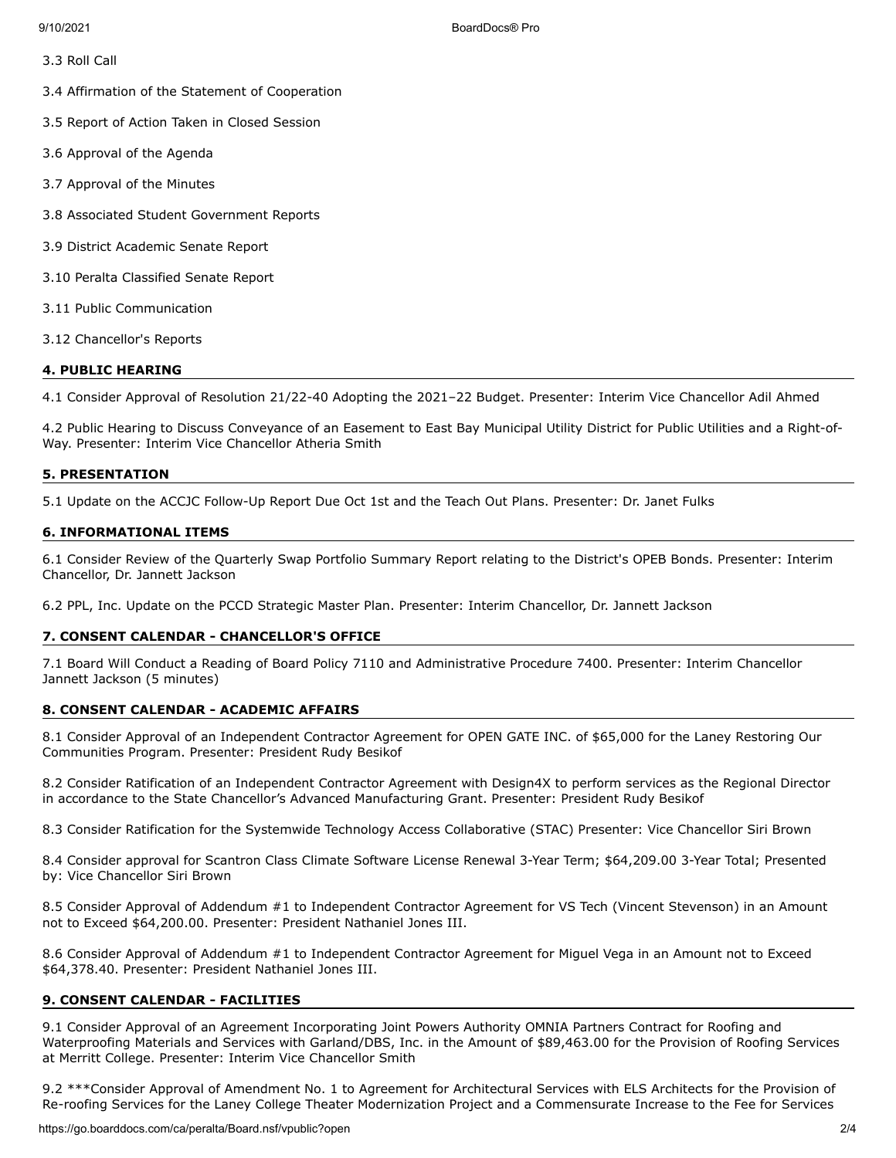3.3 Roll Call

3.4 Affirmation of the Statement of Cooperation

3.5 Report of Action Taken in Closed Session

3.6 Approval of the Agenda

- 3.7 Approval of the Minutes
- 3.8 Associated Student Government Reports
- 3.9 District Academic Senate Report
- 3.10 Peralta Classified Senate Report
- 3.11 Public Communication
- 3.12 Chancellor's Reports

# **4. PUBLIC HEARING**

4.1 Consider Approval of Resolution 21/22-40 Adopting the 2021–22 Budget. Presenter: Interim Vice Chancellor Adil Ahmed

4.2 Public Hearing to Discuss Conveyance of an Easement to East Bay Municipal Utility District for Public Utilities and a Right-of-Way. Presenter: Interim Vice Chancellor Atheria Smith

### **5. PRESENTATION**

5.1 Update on the ACCJC Follow-Up Report Due Oct 1st and the Teach Out Plans. Presenter: Dr. Janet Fulks

# **6. INFORMATIONAL ITEMS**

6.1 Consider Review of the Quarterly Swap Portfolio Summary Report relating to the District's OPEB Bonds. Presenter: Interim Chancellor, Dr. Jannett Jackson

6.2 PPL, Inc. Update on the PCCD Strategic Master Plan. Presenter: Interim Chancellor, Dr. Jannett Jackson

# **7. CONSENT CALENDAR - CHANCELLOR'S OFFICE**

7.1 Board Will Conduct a Reading of Board Policy 7110 and Administrative Procedure 7400. Presenter: Interim Chancellor Jannett Jackson (5 minutes)

# **8. CONSENT CALENDAR - ACADEMIC AFFAIRS**

8.1 Consider Approval of an Independent Contractor Agreement for OPEN GATE INC. of \$65,000 for the Laney Restoring Our Communities Program. Presenter: President Rudy Besikof

8.2 Consider Ratification of an Independent Contractor Agreement with Design4X to perform services as the Regional Director in accordance to the State Chancellor's Advanced Manufacturing Grant. Presenter: President Rudy Besikof

8.3 Consider Ratification for the Systemwide Technology Access Collaborative (STAC) Presenter: Vice Chancellor Siri Brown

8.4 Consider approval for Scantron Class Climate Software License Renewal 3-Year Term; \$64,209.00 3-Year Total; Presented by: Vice Chancellor Siri Brown

8.5 Consider Approval of Addendum #1 to Independent Contractor Agreement for VS Tech (Vincent Stevenson) in an Amount not to Exceed \$64,200.00. Presenter: President Nathaniel Jones III.

8.6 Consider Approval of Addendum #1 to Independent Contractor Agreement for Miguel Vega in an Amount not to Exceed \$64,378.40. Presenter: President Nathaniel Jones III.

# **9. CONSENT CALENDAR - FACILITIES**

9.1 Consider Approval of an Agreement Incorporating Joint Powers Authority OMNIA Partners Contract for Roofing and Waterproofing Materials and Services with Garland/DBS, Inc. in the Amount of \$89,463.00 for the Provision of Roofing Services at Merritt College. Presenter: Interim Vice Chancellor Smith

9.2 \*\*\*Consider Approval of Amendment No. 1 to Agreement for Architectural Services with ELS Architects for the Provision of Re-roofing Services for the Laney College Theater Modernization Project and a Commensurate Increase to the Fee for Services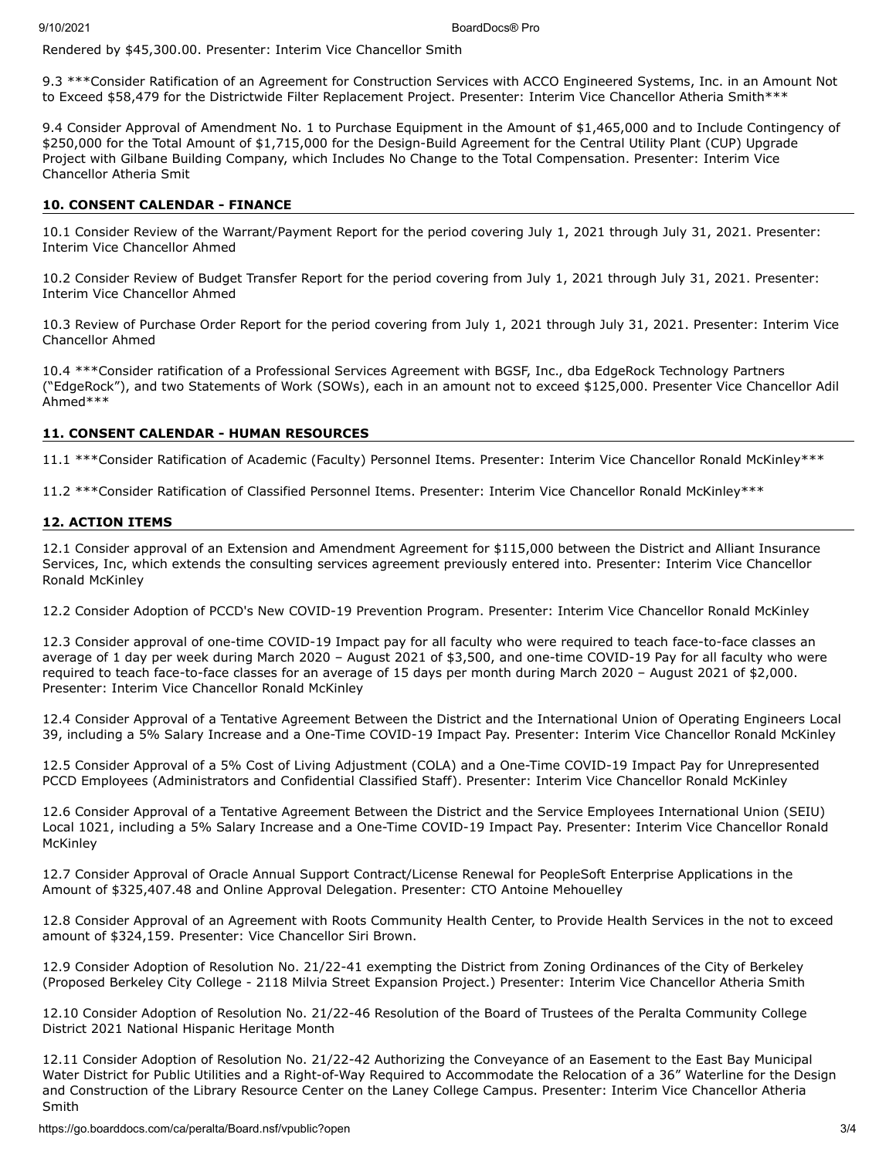Rendered by \$45,300.00. Presenter: Interim Vice Chancellor Smith

9.3 \*\*\*Consider Ratification of an Agreement for Construction Services with ACCO Engineered Systems, Inc. in an Amount Not to Exceed \$58,479 for the Districtwide Filter Replacement Project. Presenter: Interim Vice Chancellor Atheria Smith\*\*\*

9.4 Consider Approval of Amendment No. 1 to Purchase Equipment in the Amount of \$1,465,000 and to Include Contingency of \$250,000 for the Total Amount of \$1,715,000 for the Design-Build Agreement for the Central Utility Plant (CUP) Upgrade Project with Gilbane Building Company, which Includes No Change to the Total Compensation. Presenter: Interim Vice Chancellor Atheria Smit

### **10. CONSENT CALENDAR - FINANCE**

10.1 Consider Review of the Warrant/Payment Report for the period covering July 1, 2021 through July 31, 2021. Presenter: Interim Vice Chancellor Ahmed

10.2 Consider Review of Budget Transfer Report for the period covering from July 1, 2021 through July 31, 2021. Presenter: Interim Vice Chancellor Ahmed

10.3 Review of Purchase Order Report for the period covering from July 1, 2021 through July 31, 2021. Presenter: Interim Vice Chancellor Ahmed

10.4 \*\*\*Consider ratification of a Professional Services Agreement with BGSF, Inc., dba EdgeRock Technology Partners ("EdgeRock"), and two Statements of Work (SOWs), each in an amount not to exceed \$125,000. Presenter Vice Chancellor Adil Ahmed\*\*\*

### **11. CONSENT CALENDAR - HUMAN RESOURCES**

11.1 \*\*\*Consider Ratification of Academic (Faculty) Personnel Items. Presenter: Interim Vice Chancellor Ronald McKinley\*\*\*

11.2 \*\*\*Consider Ratification of Classified Personnel Items. Presenter: Interim Vice Chancellor Ronald McKinley\*\*\*

#### **12. ACTION ITEMS**

12.1 Consider approval of an Extension and Amendment Agreement for \$115,000 between the District and Alliant Insurance Services, Inc, which extends the consulting services agreement previously entered into. Presenter: Interim Vice Chancellor Ronald McKinley

12.2 Consider Adoption of PCCD's New COVID-19 Prevention Program. Presenter: Interim Vice Chancellor Ronald McKinley

12.3 Consider approval of one-time COVID-19 Impact pay for all faculty who were required to teach face-to-face classes an average of 1 day per week during March 2020 – August 2021 of \$3,500, and one-time COVID-19 Pay for all faculty who were required to teach face-to-face classes for an average of 15 days per month during March 2020 – August 2021 of \$2,000. Presenter: Interim Vice Chancellor Ronald McKinley

12.4 Consider Approval of a Tentative Agreement Between the District and the International Union of Operating Engineers Local 39, including a 5% Salary Increase and a One-Time COVID-19 Impact Pay. Presenter: Interim Vice Chancellor Ronald McKinley

12.5 Consider Approval of a 5% Cost of Living Adjustment (COLA) and a One-Time COVID-19 Impact Pay for Unrepresented PCCD Employees (Administrators and Confidential Classified Staff). Presenter: Interim Vice Chancellor Ronald McKinley

12.6 Consider Approval of a Tentative Agreement Between the District and the Service Employees International Union (SEIU) Local 1021, including a 5% Salary Increase and a One-Time COVID-19 Impact Pay. Presenter: Interim Vice Chancellor Ronald **McKinley** 

12.7 Consider Approval of Oracle Annual Support Contract/License Renewal for PeopleSoft Enterprise Applications in the Amount of \$325,407.48 and Online Approval Delegation. Presenter: CTO Antoine Mehouelley

12.8 Consider Approval of an Agreement with Roots Community Health Center, to Provide Health Services in the not to exceed amount of \$324,159. Presenter: Vice Chancellor Siri Brown.

12.9 Consider Adoption of Resolution No. 21/22-41 exempting the District from Zoning Ordinances of the City of Berkeley (Proposed Berkeley City College - 2118 Milvia Street Expansion Project.) Presenter: Interim Vice Chancellor Atheria Smith

12.10 Consider Adoption of Resolution No. 21/22-46 Resolution of the Board of Trustees of the Peralta Community College District 2021 National Hispanic Heritage Month

12.11 Consider Adoption of Resolution No. 21/22-42 Authorizing the Conveyance of an Easement to the East Bay Municipal Water District for Public Utilities and a Right-of-Way Required to Accommodate the Relocation of a 36" Waterline for the Design and Construction of the Library Resource Center on the Laney College Campus. Presenter: Interim Vice Chancellor Atheria Smith